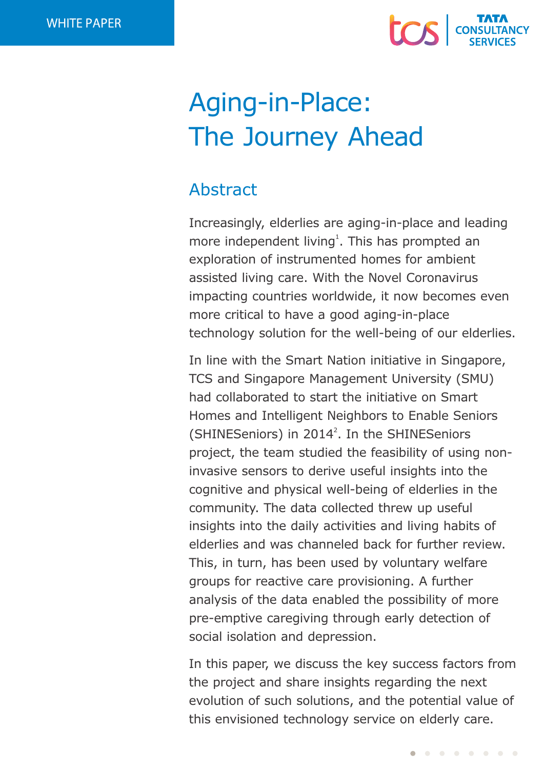

# Aging-in-Place: The Journey Ahead

# Abstract

Increasingly, elderlies are aging-in-place and leading more independent living<sup>1</sup>. This has prompted an exploration of instrumented homes for ambient assisted living care. With the Novel Coronavirus impacting countries worldwide, it now becomes even more critical to have a good aging-in-place technology solution for the well-being of our elderlies.

In line with the Smart Nation initiative in Singapore, TCS and Singapore Management University (SMU) had collaborated to start the initiative on Smart Homes and Intelligent Neighbors to Enable Seniors (SHINESeniors) in 2014<sup>2</sup>. In the SHINESeniors project, the team studied the feasibility of using noninvasive sensors to derive useful insights into the cognitive and physical well-being of elderlies in the community. The data collected threw up useful insights into the daily activities and living habits of elderlies and was channeled back for further review. This, in turn, has been used by voluntary welfare groups for reactive care provisioning. A further analysis of the data enabled the possibility of more pre-emptive caregiving through early detection of social isolation and depression.

In this paper, we discuss the key success factors from the project and share insights regarding the next evolution of such solutions, and the potential value of this envisioned technology service on elderly care.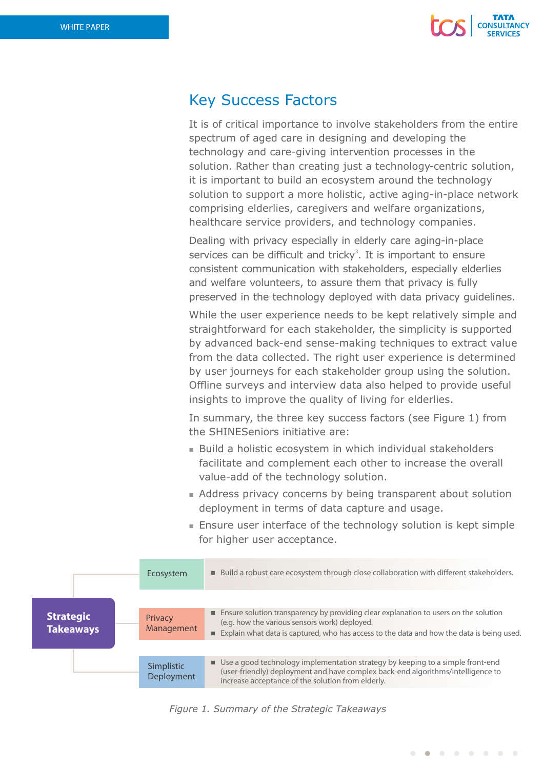

# Key Success Factors

It is of critical importance to involve stakeholders from the entire spectrum of aged care in designing and developing the technology and care-giving intervention processes in the solution. Rather than creating just a technology-centric solution, it is important to build an ecosystem around the technology solution to support a more holistic, active aging-in-place network comprising elderlies, caregivers and welfare organizations, healthcare service providers, and technology companies.

Dealing with privacy especially in elderly care aging-in-place services can be difficult and tricky<sup>3</sup>. It is important to ensure consistent communication with stakeholders, especially elderlies and welfare volunteers, to assure them that privacy is fully preserved in the technology deployed with data privacy guidelines.

While the user experience needs to be kept relatively simple and straightforward for each stakeholder, the simplicity is supported by advanced back-end sense-making techniques to extract value from the data collected. The right user experience is determined by user journeys for each stakeholder group using the solution. Offline surveys and interview data also helped to provide useful insights to improve the quality of living for elderlies.

In summary, the three key success factors (see Figure 1) from the SHINESeniors initiative are:

- Build a holistic ecosystem in which individual stakeholders facilitate and complement each other to increase the overall value-add of the technology solution.
- Address privacy concerns by being transparent about solution deployment in terms of data capture and usage.
- $\blacksquare$  Ensure user interface of the technology solution is kept simple for higher user acceptance.

|                                      | Ecosystem                | Build a robust care ecosystem through close collaboration with different stakeholders.                                                                                                                                             |
|--------------------------------------|--------------------------|------------------------------------------------------------------------------------------------------------------------------------------------------------------------------------------------------------------------------------|
|                                      |                          |                                                                                                                                                                                                                                    |
| <b>Strategic</b><br><b>Takeaways</b> | Privacy<br>Management    | Ensure solution transparency by providing clear explanation to users on the solution<br>(e.g. how the various sensors work) deployed.<br>Explain what data is captured, who has access to the data and how the data is being used. |
|                                      |                          |                                                                                                                                                                                                                                    |
|                                      | Simplistic<br>Deployment | ■ Use a good technology implementation strategy by keeping to a simple front-end<br>(user-friendly) deployment and have complex back-end algorithms/intelligence to<br>increase acceptance of the solution from elderly.           |

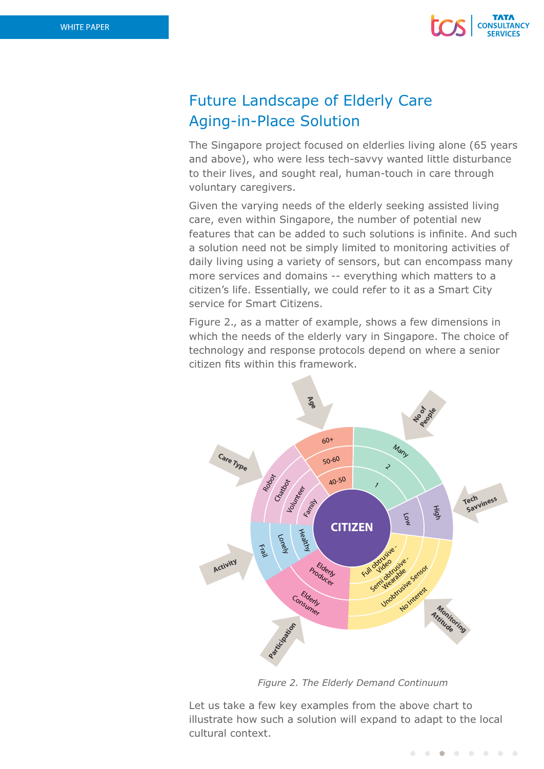

# Future Landscape of Elderly Care Aging-in-Place Solution

The Singapore project focused on elderlies living alone (65 years and above), who were less tech-savvy wanted little disturbance to their lives, and sought real, human-touch in care through voluntary caregivers.

Given the varying needs of the elderly seeking assisted living care, even within Singapore, the number of potential new features that can be added to such solutions is infinite. And such a solution need not be simply limited to monitoring activities of daily living using a variety of sensors, but can encompass many more services and domains -- everything which matters to a citizen's life. Essentially, we could refer to it as a Smart City service for Smart Citizens.

Figure 2., as a matter of example, shows a few dimensions in which the needs of the elderly vary in Singapore. The choice of technology and response protocols depend on where a senior citizen fits within this framework.



*Figure 2. The Elderly Demand Continuum*

Let us take a few key examples from the above chart to illustrate how such a solution will expand to adapt to the local cultural context.

> $\begin{array}{c} \hline \end{array}$  $\bullet$  $\blacksquare$  $\bullet$  $\bullet$  $\bullet$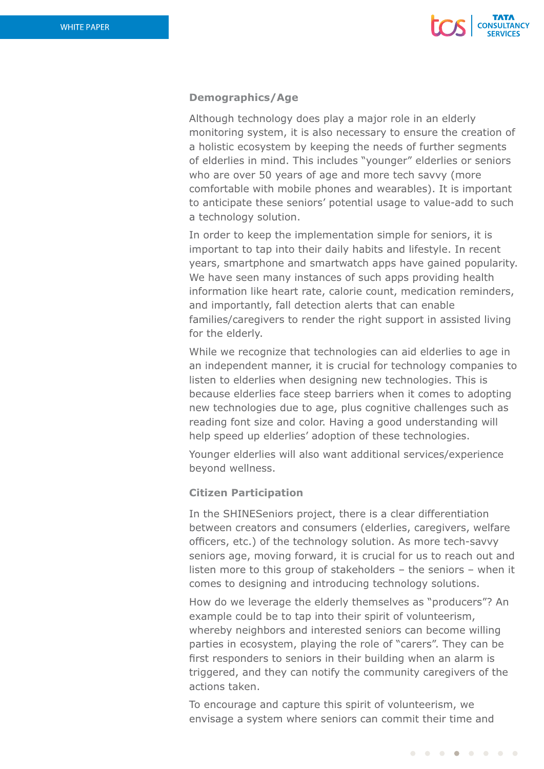

## **Demographics/Age**

Although technology does play a major role in an elderly monitoring system, it is also necessary to ensure the creation of a holistic ecosystem by keeping the needs of further segments of elderlies in mind. This includes "younger" elderlies or seniors who are over 50 years of age and more tech savvy (more comfortable with mobile phones and wearables). It is important to anticipate these seniors' potential usage to value-add to such a technology solution.

In order to keep the implementation simple for seniors, it is important to tap into their daily habits and lifestyle. In recent years, smartphone and smartwatch apps have gained popularity. We have seen many instances of such apps providing health information like heart rate, calorie count, medication reminders, and importantly, fall detection alerts that can enable families/caregivers to render the right support in assisted living for the elderly.

While we recognize that technologies can aid elderlies to age in an independent manner, it is crucial for technology companies to listen to elderlies when designing new technologies. This is because elderlies face steep barriers when it comes to adopting new technologies due to age, plus cognitive challenges such as reading font size and color. Having a good understanding will help speed up elderlies' adoption of these technologies.

Younger elderlies will also want additional services/experience beyond wellness.

### **Citizen Participation**

In the SHINESeniors project, there is a clear differentiation between creators and consumers (elderlies, caregivers, welfare officers, etc.) of the technology solution. As more tech-savvy seniors age, moving forward, it is crucial for us to reach out and listen more to this group of stakeholders – the seniors – when it comes to designing and introducing technology solutions.

How do we leverage the elderly themselves as "producers"? An example could be to tap into their spirit of volunteerism, whereby neighbors and interested seniors can become willing parties in ecosystem, playing the role of "carers". They can be first responders to seniors in their building when an alarm is triggered, and they can notify the community caregivers of the actions taken.

To encourage and capture this spirit of volunteerism, we envisage a system where seniors can commit their time and

. . . . . . . .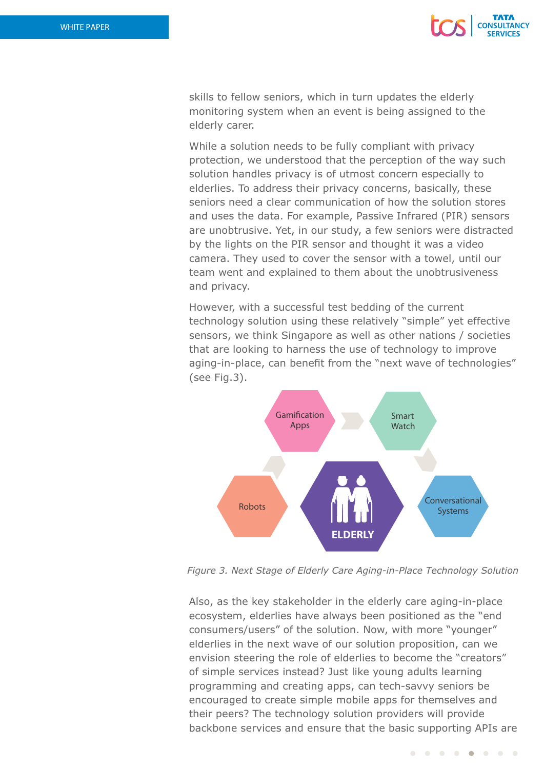

skills to fellow seniors, which in turn updates the elderly monitoring system when an event is being assigned to the elderly carer.

While a solution needs to be fully compliant with privacy protection, we understood that the perception of the way such solution handles privacy is of utmost concern especially to elderlies. To address their privacy concerns, basically, these seniors need a clear communication of how the solution stores and uses the data. For example, Passive Infrared (PIR) sensors are unobtrusive. Yet, in our study, a few seniors were distracted by the lights on the PIR sensor and thought it was a video camera. They used to cover the sensor with a towel, until our team went and explained to them about the unobtrusiveness and privacy.

However, with a successful test bedding of the current technology solution using these relatively "simple" yet effective sensors, we think Singapore as well as other nations / societies that are looking to harness the use of technology to improve aging-in-place, can benefit from the "next wave of technologies" (see Fig.3).



*Figure 3. Next Stage of Elderly Care Aging-in-Place Technology Solution*

Also, as the key stakeholder in the elderly care aging-in-place ecosystem, elderlies have always been positioned as the "end consumers/users" of the solution. Now, with more "younger" elderlies in the next wave of our solution proposition, can we envision steering the role of elderlies to become the "creators" of simple services instead? Just like young adults learning programming and creating apps, can tech-savvy seniors be encouraged to create simple mobile apps for themselves and their peers? The technology solution providers will provide backbone services and ensure that the basic supporting APIs are

> $\begin{array}{ccccccccc}\n\bullet & \bullet & \bullet & \bullet & \bullet\n\end{array}$  $\bullet\quad\bullet\quad\bullet$  $\bullet$  $\sim$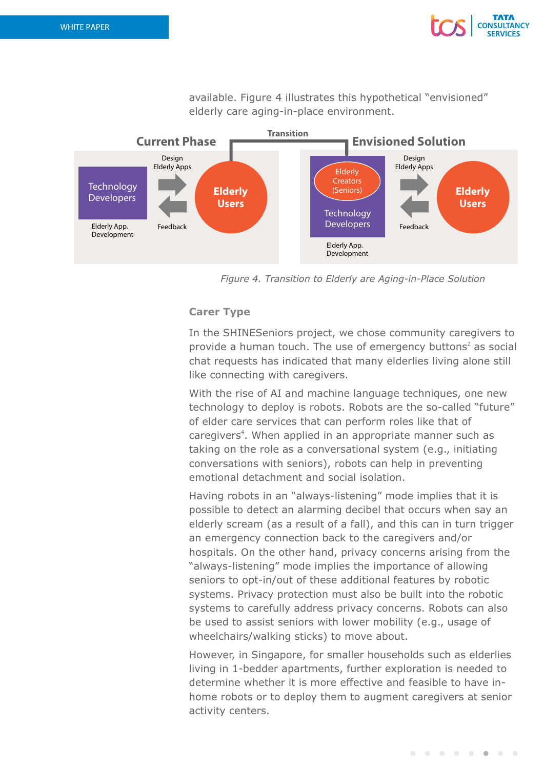

available. Figure 4 illustrates this hypothetical "envisioned" elderly care aging-in-place environment.



*Figure 4. Transition to Elderly are Aging-in-Place Solution*

### **Carer Type**

In the SHINESeniors project, we chose community caregivers to provide a human touch. The use of emergency buttons<sup>2</sup> as social chat requests has indicated that many elderlies living alone still like connecting with caregivers.

With the rise of AI and machine language techniques, one new technology to deploy is robots. Robots are the so-called "future" of elder care services that can perform roles like that of caregivers<sup>4</sup>. When applied in an appropriate manner such as taking on the role as a conversational system (e.g., initiating conversations with seniors), robots can help in preventing emotional detachment and social isolation.

Having robots in an "always-listening" mode implies that it is possible to detect an alarming decibel that occurs when say an elderly scream (as a result of a fall), and this can in turn trigger an emergency connection back to the caregivers and/or hospitals. On the other hand, privacy concerns arising from the "always-listening" mode implies the importance of allowing seniors to opt-in/out of these additional features by robotic systems. Privacy protection must also be built into the robotic systems to carefully address privacy concerns. Robots can also be used to assist seniors with lower mobility (e.g., usage of wheelchairs/walking sticks) to move about.

However, in Singapore, for smaller households such as elderlies living in 1-bedder apartments, further exploration is needed to determine whether it is more effective and feasible to have inhome robots or to deploy them to augment caregivers at senior activity centers.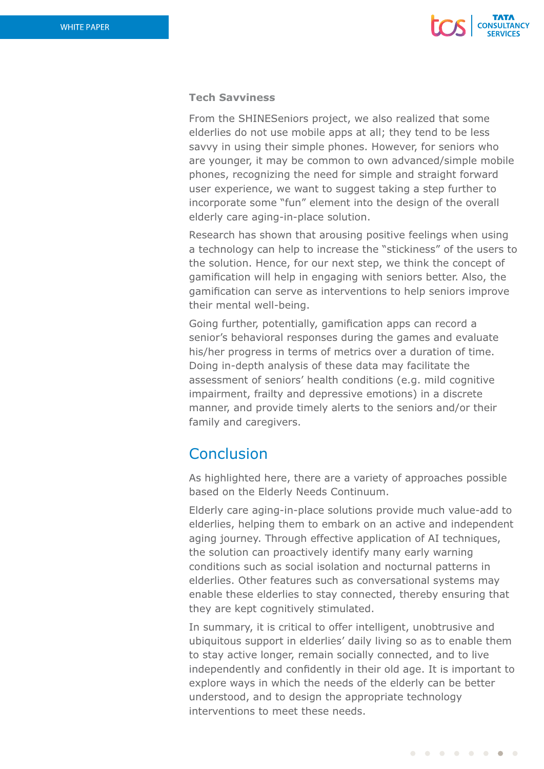

## **Tech Savviness**

From the SHINESeniors project, we also realized that some elderlies do not use mobile apps at all; they tend to be less savvy in using their simple phones. However, for seniors who are younger, it may be common to own advanced/simple mobile phones, recognizing the need for simple and straight forward user experience, we want to suggest taking a step further to incorporate some "fun" element into the design of the overall elderly care aging-in-place solution.

Research has shown that arousing positive feelings when using a technology can help to increase the "stickiness" of the users to the solution. Hence, for our next step, we think the concept of gamification will help in engaging with seniors better. Also, the gamification can serve as interventions to help seniors improve their mental well-being.

Going further, potentially, gamification apps can record a senior's behavioral responses during the games and evaluate his/her progress in terms of metrics over a duration of time. Doing in-depth analysis of these data may facilitate the assessment of seniors' health conditions (e.g. mild cognitive impairment, frailty and depressive emotions) in a discrete manner, and provide timely alerts to the seniors and/or their family and caregivers.

# **Conclusion**

As highlighted here, there are a variety of approaches possible based on the Elderly Needs Continuum.

Elderly care aging-in-place solutions provide much value-add to elderlies, helping them to embark on an active and independent aging journey. Through effective application of AI techniques, the solution can proactively identify many early warning conditions such as social isolation and nocturnal patterns in elderlies. Other features such as conversational systems may enable these elderlies to stay connected, thereby ensuring that they are kept cognitively stimulated.

In summary, it is critical to offer intelligent, unobtrusive and ubiquitous support in elderlies' daily living so as to enable them to stay active longer, remain socially connected, and to live independently and confidently in their old age. It is important to explore ways in which the needs of the elderly can be better understood, and to design the appropriate technology interventions to meet these needs.